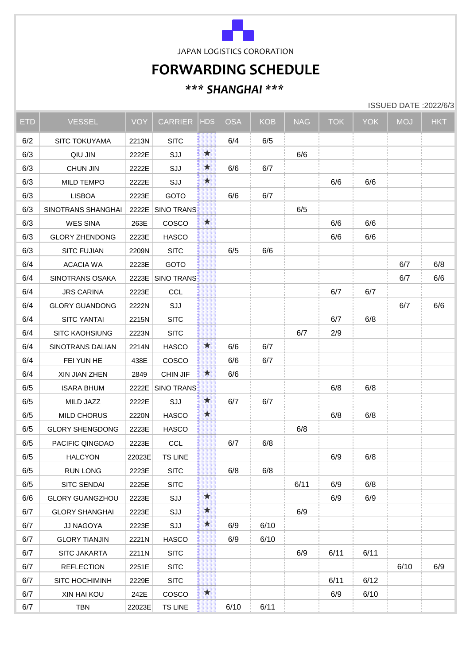

JAPAN LOGISTICS CORORATION

## **FORWARDING SCHEDULE**

## *\*\*\* SHANGHAI \*\*\**

ISSUED DATE :2022/6/3

| <b>ETD</b> | <b>VESSEL</b>          | <b>VOY</b> | <b>CARRIER</b>   | <b>HDS</b>   | <b>OSA</b> | <b>KOB</b> | <b>NAG</b> | <b>TOK</b> | <b>YOK</b> | <b>MOJ</b> | <b>HKT</b> |
|------------|------------------------|------------|------------------|--------------|------------|------------|------------|------------|------------|------------|------------|
| 6/2        | SITC TOKUYAMA          | 2213N      | <b>SITC</b>      |              | 6/4        | 6/5        |            |            |            |            |            |
| 6/3        | QIU JIN                | 2222E      | SJJ              | $\mathbf{r}$ |            |            | 6/6        |            |            |            |            |
| 6/3        | <b>CHUN JIN</b>        | 2222E      | SJJ              | $\mathbf{r}$ | 6/6        | 6/7        |            |            |            |            |            |
| 6/3        | MILD TEMPO             | 2222E      | SJJ              | E.           |            |            |            | 6/6        | 6/6        |            |            |
| 6/3        | <b>LISBOA</b>          | 2223E      | GOTO             |              | 6/6        | 6/7        |            |            |            |            |            |
| 6/3        | SINOTRANS SHANGHAI     | 2222E      | SINO TRANS:      |              |            |            | 6/5        |            |            |            |            |
| 6/3        | <b>WES SINA</b>        | 263E       | COSCO            | $\mathbf{r}$ |            |            |            | 6/6        | 6/6        |            |            |
| 6/3        | <b>GLORY ZHENDONG</b>  | 2223E      | <b>HASCO</b>     |              |            |            |            | 6/6        | 6/6        |            |            |
| 6/3        | <b>SITC FUJIAN</b>     | 2209N      | <b>SITC</b>      |              | 6/5        | 6/6        |            |            |            |            |            |
| 6/4        | <b>ACACIA WA</b>       | 2223E      | <b>GOTO</b>      |              |            |            |            |            |            | 6/7        | 6/8        |
| 6/4        | SINOTRANS OSAKA        |            | 2223E SINO TRANS |              |            |            |            |            |            | 6/7        | 6/6        |
| 6/4        | <b>JRS CARINA</b>      | 2223E      | <b>CCL</b>       |              |            |            |            | 6/7        | 6/7        |            |            |
| 6/4        | <b>GLORY GUANDONG</b>  | 2222N      | SJJ              |              |            |            |            |            |            | 6/7        | 6/6        |
| 6/4        | <b>SITC YANTAI</b>     | 2215N      | <b>SITC</b>      |              |            |            |            | 6/7        | 6/8        |            |            |
| 6/4        | <b>SITC KAOHSIUNG</b>  | 2223N      | <b>SITC</b>      |              |            |            | 6/7        | 2/9        |            |            |            |
| 6/4        | SINOTRANS DALIAN       | 2214N      | <b>HASCO</b>     | M            | 6/6        | 6/7        |            |            |            |            |            |
| 6/4        | FEI YUN HE             | 438E       | COSCO            |              | 6/6        | 6/7        |            |            |            |            |            |
| 6/4        | XIN JIAN ZHEN          | 2849       | CHIN JIF         | ž.           | 6/6        |            |            |            |            |            |            |
| 6/5        | <b>ISARA BHUM</b>      | 2222E      | SINO TRANS       |              |            |            |            | 6/8        | 6/8        |            |            |
| 6/5        | MILD JAZZ              | 2222E      | SJJ              | X            | 6/7        | 6/7        |            |            |            |            |            |
| 6/5        | <b>MILD CHORUS</b>     | 2220N      | <b>HASCO</b>     | 豪            |            |            |            | 6/8        | 6/8        |            |            |
| 6/5        | <b>GLORY SHENGDONG</b> | 2223E      | <b>HASCO</b>     |              |            |            | 6/8        |            |            |            |            |
| 6/5        | PACIFIC QINGDAO        | 2223E      | <b>CCL</b>       |              | 6/7        | 6/8        |            |            |            |            |            |
| 6/5        | <b>HALCYON</b>         | 22023E     | <b>TS LINE</b>   |              |            |            |            | 6/9        | 6/8        |            |            |
| 6/5        | <b>RUN LONG</b>        | 2223E      | <b>SITC</b>      |              | 6/8        | 6/8        |            |            |            |            |            |
| 6/5        | SITC SENDAI            | 2225E      | <b>SITC</b>      |              |            |            | 6/11       | 6/9        | 6/8        |            |            |
| 6/6        | <b>GLORY GUANGZHOU</b> | 2223E      | SJJ              | $\mathbf{x}$ |            |            |            | 6/9        | 6/9        |            |            |
| 6/7        | <b>GLORY SHANGHAI</b>  | 2223E      | SJJ              | <b>A</b>     |            |            | 6/9        |            |            |            |            |
| 6/7        | JJ NAGOYA              | 2223E      | SJJ              | M            | 6/9        | 6/10       |            |            |            |            |            |
| 6/7        | <b>GLORY TIANJIN</b>   | 2221N      | <b>HASCO</b>     |              | 6/9        | 6/10       |            |            |            |            |            |
| 6/7        | SITC JAKARTA           | 2211N      | <b>SITC</b>      |              |            |            | 6/9        | 6/11       | 6/11       |            |            |
| 6/7        | <b>REFLECTION</b>      | 2251E      | <b>SITC</b>      |              |            |            |            |            |            | 6/10       | 6/9        |
| 6/7        | SITC HOCHIMINH         | 2229E      | <b>SITC</b>      |              |            |            |            | 6/11       | 6/12       |            |            |
| 6/7        | XIN HAI KOU            | 242E       | COSCO            | 窊            |            |            |            | 6/9        | 6/10       |            |            |
| 6/7        | <b>TBN</b>             | 22023E     | <b>TS LINE</b>   |              | 6/10       | 6/11       |            |            |            |            |            |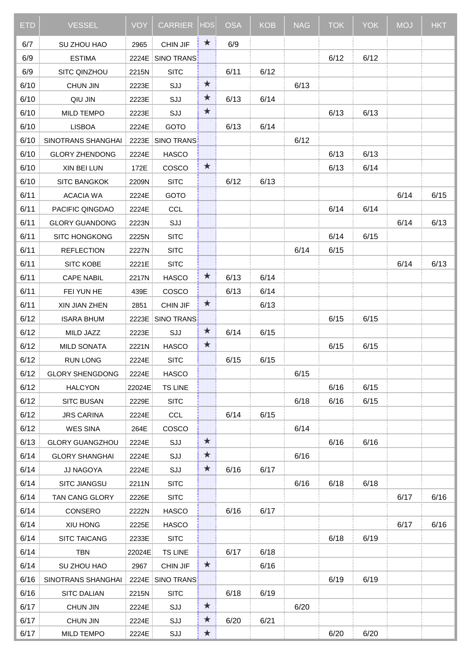| <b>ETD</b> | <b>VESSEL</b>          | <b>VOY</b> | <b>CARRIER</b>    | <b>HDS</b>            | OSA  | <b>KOB</b> | <b>NAG</b> | <b>TOK</b> | <b>YOK</b> | <b>MOJ</b> | <b>HKT</b> |
|------------|------------------------|------------|-------------------|-----------------------|------|------------|------------|------------|------------|------------|------------|
| 6/7        | SU ZHOU HAO            | 2965       | CHIN JIF          | $\boldsymbol{\pi}$    | 6/9  |            |            |            |            |            |            |
| 6/9        | <b>ESTIMA</b>          | 2224E      | SINO TRANS        |                       |      |            |            | 6/12       | 6/12       |            |            |
| 6/9        | SITC QINZHOU           | 2215N      | <b>SITC</b>       |                       | 6/11 | 6/12       |            |            |            |            |            |
| 6/10       | <b>CHUN JIN</b>        | 2223E      | SJJ               | $\mathbf{x}$          |      |            | 6/13       |            |            |            |            |
| 6/10       | QIU JIN                | 2223E      | SJJ               | $\mathbf{r}$          | 6/13 | 6/14       |            |            |            |            |            |
| 6/10       | MILD TEMPO             | 2223E      | SJJ               | $\mathbf{r}$          |      |            |            | 6/13       | 6/13       |            |            |
| 6/10       | <b>LISBOA</b>          | 2224E      | GOTO              |                       | 6/13 | 6/14       |            |            |            |            |            |
| 6/10       | SINOTRANS SHANGHAI     | 2223E      | <b>SINO TRANS</b> |                       |      |            | 6/12       |            |            |            |            |
| 6/10       | <b>GLORY ZHENDONG</b>  | 2224E      | <b>HASCO</b>      |                       |      |            |            | 6/13       | 6/13       |            |            |
| 6/10       | XIN BEI LUN            | 172E       | COSCO             | $\boldsymbol{\star}$  |      |            |            | 6/13       | 6/14       |            |            |
| 6/10       | <b>SITC BANGKOK</b>    | 2209N      | <b>SITC</b>       |                       | 6/12 | 6/13       |            |            |            |            |            |
| 6/11       | <b>ACACIA WA</b>       | 2224E      | GOTO              |                       |      |            |            |            |            | 6/14       | 6/15       |
| 6/11       | PACIFIC QINGDAO        | 2224E      | <b>CCL</b>        |                       |      |            |            | 6/14       | 6/14       |            |            |
| 6/11       | <b>GLORY GUANDONG</b>  | 2223N      | SJJ               |                       |      |            |            |            |            | 6/14       | 6/13       |
| 6/11       | SITC HONGKONG          | 2225N      | <b>SITC</b>       |                       |      |            |            | 6/14       | 6/15       |            |            |
| 6/11       | <b>REFLECTION</b>      | 2227N      | <b>SITC</b>       |                       |      |            | 6/14       | 6/15       |            |            |            |
| 6/11       | SITC KOBE              | 2221E      | <b>SITC</b>       |                       |      |            |            |            |            | 6/14       | 6/13       |
| 6/11       | <b>CAPE NABIL</b>      | 2217N      | <b>HASCO</b>      | 大                     | 6/13 | 6/14       |            |            |            |            |            |
| 6/11       | FEI YUN HE             | 439E       | COSCO             |                       | 6/13 | 6/14       |            |            |            |            |            |
| 6/11       | XIN JIAN ZHEN          | 2851       | CHIN JIF          | $\boldsymbol{\star}$  |      | 6/13       |            |            |            |            |            |
| 6/12       | <b>ISARA BHUM</b>      | 2223E      | <b>SINO TRANS</b> |                       |      |            |            | 6/15       | 6/15       |            |            |
| 6/12       | MILD JAZZ              | 2223E      | SJJ               | M                     | 6/14 | 6/15       |            |            |            |            |            |
| 6/12       | <b>MILD SONATA</b>     | 2221N      | <b>HASCO</b>      | $\mathbf{z}$          |      |            |            | 6/15       | 6/15       |            |            |
| 6/12       | <b>RUN LONG</b>        | 2224E      | <b>SITC</b>       |                       | 6/15 | 6/15       |            |            |            |            |            |
| 6/12       | <b>GLORY SHENGDONG</b> | 2224E      | <b>HASCO</b>      |                       |      |            | 6/15       |            |            |            |            |
| 6/12       | <b>HALCYON</b>         | 22024E     | <b>TS LINE</b>    |                       |      |            |            | 6/16       | 6/15       |            |            |
| 6/12       | <b>SITC BUSAN</b>      | 2229E      | <b>SITC</b>       |                       |      |            | 6/18       | 6/16       | 6/15       |            |            |
| 6/12       | <b>JRS CARINA</b>      | 2224E      | <b>CCL</b>        |                       | 6/14 | 6/15       |            |            |            |            |            |
| 6/12       | <b>WES SINA</b>        | 264E       | COSCO             |                       |      |            | 6/14       |            |            |            |            |
| 6/13       | <b>GLORY GUANGZHOU</b> | 2224E      | SJJ               | $\mathbf{\hat{x}}$    |      |            |            | 6/16       | 6/16       |            |            |
| 6/14       | <b>GLORY SHANGHAI</b>  | 2224E      | SJJ               | $\mathbf{a}^{\prime}$ |      |            | 6/16       |            |            |            |            |
| 6/14       | JJ NAGOYA              | 2224E      | SJJ               | M                     | 6/16 | 6/17       |            |            |            |            |            |
| 6/14       | SITC JIANGSU           | 2211N      | <b>SITC</b>       |                       |      |            | 6/16       | 6/18       | 6/18       |            |            |
| 6/14       | TAN CANG GLORY         | 2226E      | <b>SITC</b>       |                       |      |            |            |            |            | 6/17       | 6/16       |
| 6/14       | CONSERO                | 2222N      | <b>HASCO</b>      |                       | 6/16 | 6/17       |            |            |            |            |            |
| 6/14       | XIU HONG               | 2225E      | <b>HASCO</b>      |                       |      |            |            |            |            | 6/17       | 6/16       |
| 6/14       | <b>SITC TAICANG</b>    | 2233E      | <b>SITC</b>       |                       |      |            |            | 6/18       | 6/19       |            |            |
| 6/14       | <b>TBN</b>             | 22024E     | <b>TS LINE</b>    |                       | 6/17 | 6/18       |            |            |            |            |            |
| 6/14       | SU ZHOU HAO            | 2967       | CHIN JIF          | $\boldsymbol{\star}$  |      | 6/16       |            |            |            |            |            |
| 6/16       | SINOTRANS SHANGHAI     | 2224E      | SINO TRANS        |                       |      |            |            | 6/19       | 6/19       |            |            |
| 6/16       | <b>SITC DALIAN</b>     | 2215N      | <b>SITC</b>       |                       | 6/18 | 6/19       |            |            |            |            |            |
| 6/17       | <b>CHUN JIN</b>        | 2224E      | SJJ               | 窝                     |      |            | 6/20       |            |            |            |            |
| 6/17       | <b>CHUN JIN</b>        | 2224E      | SJJ               | ž.                    | 6/20 | 6/21       |            |            |            |            |            |
| 6/17       | MILD TEMPO             | 2224E      | SJJ               | $\mathbf{x}$          |      |            |            | 6/20       | 6/20       |            |            |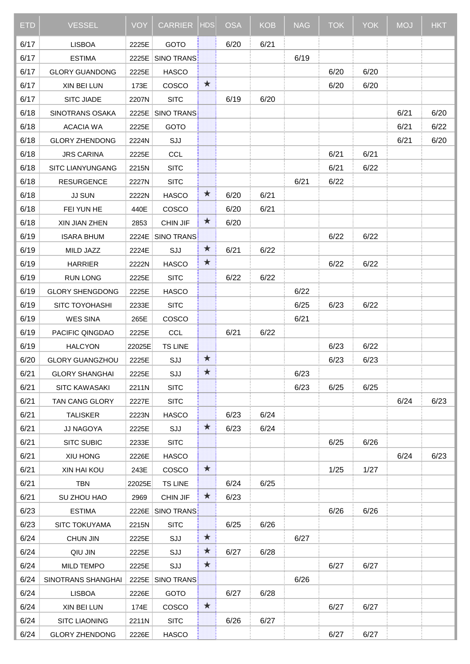| ETD  | <b>VESSEL</b>           | <b>VOY</b> | <b>CARRIER</b>    | <b>HDS</b>          | <b>OSA</b> | <b>KOB</b> | <b>NAG</b> | <b>TOK</b> | <b>YOK</b> | <b>MOJ</b> | <b>HKT</b> |
|------|-------------------------|------------|-------------------|---------------------|------------|------------|------------|------------|------------|------------|------------|
| 6/17 | <b>LISBOA</b>           | 2225E      | GOTO              |                     | 6/20       | 6/21       |            |            |            |            |            |
| 6/17 | <b>ESTIMA</b>           | 2225E      | SINO TRANS        |                     |            |            | 6/19       |            |            |            |            |
| 6/17 | <b>GLORY GUANDONG</b>   | 2225E      | <b>HASCO</b>      |                     |            |            |            | 6/20       | 6/20       |            |            |
| 6/17 | XIN BEI LUN             | 173E       | COSCO             | $\mathbf{X}$        |            |            |            | 6/20       | 6/20       |            |            |
| 6/17 | SITC JIADE              | 2207N      | <b>SITC</b>       |                     | 6/19       | 6/20       |            |            |            |            |            |
| 6/18 | SINOTRANS OSAKA         | 2225E      | <b>SINO TRANS</b> |                     |            |            |            |            |            | 6/21       | 6/20       |
| 6/18 | <b>ACACIA WA</b>        | 2225E      | GOTO              |                     |            |            |            |            |            | 6/21       | 6/22       |
| 6/18 | <b>GLORY ZHENDONG</b>   | 2224N      | SJJ               |                     |            |            |            |            |            | 6/21       | 6/20       |
| 6/18 | <b>JRS CARINA</b>       | 2225E      | <b>CCL</b>        |                     |            |            |            | 6/21       | 6/21       |            |            |
| 6/18 | <b>SITC LIANYUNGANG</b> | 2215N      | <b>SITC</b>       |                     |            |            |            | 6/21       | 6/22       |            |            |
| 6/18 | <b>RESURGENCE</b>       | 2227N      | <b>SITC</b>       |                     |            |            | 6/21       | 6/22       |            |            |            |
| 6/18 | <b>JJ SUN</b>           | 2222N      | <b>HASCO</b>      | M                   | 6/20       | 6/21       |            |            |            |            |            |
| 6/18 | FEI YUN HE              | 440E       | COSCO             |                     | 6/20       | 6/21       |            |            |            |            |            |
| 6/18 | XIN JIAN ZHEN           | 2853       | CHIN JIF          | M                   | 6/20       |            |            |            |            |            |            |
| 6/19 | <b>ISARA BHUM</b>       | 2224E      | <b>SINO TRANS</b> |                     |            |            |            | 6/22       | 6/22       |            |            |
| 6/19 | MILD JAZZ               | 2224E      | SJJ               | Ă                   | 6/21       | 6/22       |            |            |            |            |            |
| 6/19 | <b>HARRIER</b>          | 2222N      | <b>HASCO</b>      | 23                  |            |            |            | 6/22       | 6/22       |            |            |
| 6/19 | <b>RUN LONG</b>         | 2225E      | <b>SITC</b>       |                     | 6/22       | 6/22       |            |            |            |            |            |
| 6/19 | <b>GLORY SHENGDONG</b>  | 2225E      | <b>HASCO</b>      |                     |            |            | 6/22       |            |            |            |            |
| 6/19 | SITC TOYOHASHI          | 2233E      | <b>SITC</b>       |                     |            |            | 6/25       | 6/23       | 6/22       |            |            |
| 6/19 | <b>WES SINA</b>         | 265E       | COSCO             |                     |            |            | 6/21       |            |            |            |            |
| 6/19 | PACIFIC QINGDAO         | 2225E      | <b>CCL</b>        |                     | 6/21       | 6/22       |            |            |            |            |            |
| 6/19 | <b>HALCYON</b>          | 22025E     | <b>TS LINE</b>    |                     |            |            |            | 6/23       | 6/22       |            |            |
| 6/20 | <b>GLORY GUANGZHOU</b>  | 2225E      | SJJ               | $\sum_{i=1}^{n}$    |            |            |            | 6/23       | 6/23       |            |            |
| 6/21 | <b>GLORY SHANGHAI</b>   | 2225E      | SJJ               | $\mathbf{\hat{x}}$  |            |            | 6/23       |            |            |            |            |
| 6/21 | SITC KAWASAKI           | 2211N      | <b>SITC</b>       |                     |            |            | 6/23       | 6/25       | 6/25       |            |            |
| 6/21 | <b>TAN CANG GLORY</b>   | 2227E      | <b>SITC</b>       |                     |            |            |            |            |            | 6/24       | 6/23       |
| 6/21 | <b>TALISKER</b>         | 2223N      | <b>HASCO</b>      |                     | 6/23       | 6/24       |            |            |            |            |            |
| 6/21 | JJ NAGOYA               | 2225E      | SJJ               | M                   | 6/23       | 6/24       |            |            |            |            |            |
| 6/21 | <b>SITC SUBIC</b>       | 2233E      | <b>SITC</b>       |                     |            |            |            | 6/25       | 6/26       |            |            |
| 6/21 | XIU HONG                | 2226E      | <b>HASCO</b>      |                     |            |            |            |            |            | 6/24       | 6/23       |
| 6/21 | XIN HAI KOU             | 243E       | COSCO             | $\boldsymbol{\chi}$ |            |            |            | 1/25       | 1/27       |            |            |
| 6/21 | <b>TBN</b>              | 22025E     | <b>TS LINE</b>    |                     | 6/24       | 6/25       |            |            |            |            |            |
| 6/21 | SU ZHOU HAO             | 2969       | CHIN JIF          | M                   | 6/23       |            |            |            |            |            |            |
| 6/23 | <b>ESTIMA</b>           | 2226E      | <b>SINO TRANS</b> |                     |            |            |            | 6/26       | 6/26       |            |            |
| 6/23 | <b>SITC TOKUYAMA</b>    | 2215N      | <b>SITC</b>       |                     | 6/25       | 6/26       |            |            |            |            |            |
| 6/24 | <b>CHUN JIN</b>         | 2225E      | SJJ               | $\mathbf{z}$        |            |            | 6/27       |            |            |            |            |
| 6/24 | QIU JIN                 | 2225E      | SJJ               | $\mathbf{x}$        | 6/27       | 6/28       |            |            |            |            |            |
| 6/24 | <b>MILD TEMPO</b>       | 2225E      | SJJ               | $\mathbf{r}$        |            |            |            | 6/27       | 6/27       |            |            |
| 6/24 | SINOTRANS SHANGHAI      | 2225E      | SINO TRANS        |                     |            |            | 6/26       |            |            |            |            |
| 6/24 | <b>LISBOA</b>           | 2226E      | GOTO              |                     | 6/27       | 6/28       |            |            |            |            |            |
| 6/24 | XIN BEI LUN             | 174E       | COSCO             | E. J                |            |            |            | 6/27       | 6/27       |            |            |
| 6/24 | <b>SITC LIAONING</b>    | 2211N      | <b>SITC</b>       |                     | 6/26       | 6/27       |            |            |            |            |            |
| 6/24 | <b>GLORY ZHENDONG</b>   | 2226E      | <b>HASCO</b>      |                     |            |            |            | 6/27       | 6/27       |            |            |